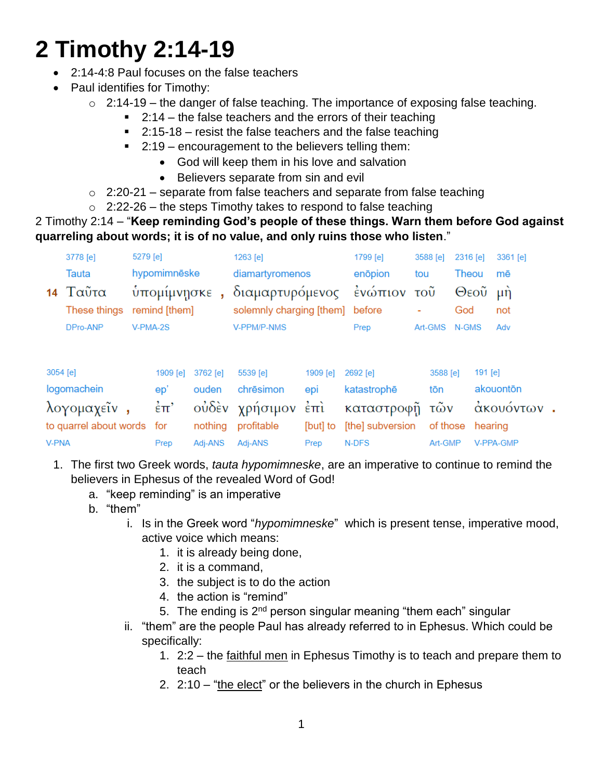# **2 Timothy 2:14-19**

- 2:14-4:8 Paul focuses on the false teachers
- Paul identifies for Timothy:
	- $\circ$  2:14-19 the danger of false teaching. The importance of exposing false teaching.
		- $\blacksquare$  2:14 the false teachers and the errors of their teaching
		- $\blacksquare$  2:15-18 resist the false teachers and the false teaching
		- 2:19 encouragement to the believers telling them:
			- God will keep them in his love and salvation
			- Believers separate from sin and evil

 $\circ$  2:20-21 – separate from false teachers and separate from false teaching

 $\circ$  2:22-26 – the steps Timothy takes to respond to false teaching

#### 2 Timothy 2:14 – "**Keep reminding God's people of these things. Warn them before God against quarreling about words; it is of no value, and only ruins those who listen**."

| 5279 [e]<br>3778 [e]<br>hypomimnēske<br><b>Tauta</b><br>Ταῦτα<br>ὺπομίμνησκε<br>14<br>remind [them]<br>These things<br>DPro-ANP<br>V-PMA-2S |  |  |                        |                                       | 1263 [e]<br>diamartyromenos<br>διαμαρτυρόμενος<br>solemnly charging [them]<br><b>V-PPM/P-NMS</b> |                                                       | 1799 [e]<br>enōpion<br>tou<br>ένώπιον<br>τοῦ<br>before<br>Prep |  | 3588 [e]<br>God<br>Art-GMS<br>N-GMS        |  | 2316 [e]<br>Theou<br>Θεοῦ | 3361 [e]<br>mē<br>$\mu$ n<br>not<br>Adv |
|---------------------------------------------------------------------------------------------------------------------------------------------|--|--|------------------------|---------------------------------------|--------------------------------------------------------------------------------------------------|-------------------------------------------------------|----------------------------------------------------------------|--|--------------------------------------------|--|---------------------------|-----------------------------------------|
| 3054 [e]<br>logomachein<br>λογομαχεῖν<br>to quarrel about words for                                                                         |  |  | 1909 [e]<br>ep'<br>έπ' | 3762 [e]<br>ouden<br>ούδεν<br>nothing | 5539 [e]<br>chrēsimon<br>χρήσιμον<br>profitable                                                  | 1909 [e]<br>epi<br>$\dot{\epsilon}$ $\pi$<br>[but] to | 2692 [e]<br>katastrophē<br>καταστροφή<br>[the] subversion      |  | 3588 [e]<br>tōn<br>τῶν<br>of those hearing |  | 191 [e]                   | akouontōn<br>άκουόντων                  |

- 1. The first two Greek words, *tauta hypomimneske*, are an imperative to continue to remind the believers in Ephesus of the revealed Word of God!
	- a. "keep reminding" is an imperative
	- b. "them"

**V-PNA** 

i. Is in the Greek word "*hypomimneske*" which is present tense, imperative mood, active voice which means:

Prep N-DFS

Art-GMP V-PPA-GMP

1. it is already being done,

Prep Adj-ANS Adj-ANS

- 2. it is a command,
- 3. the subject is to do the action
- 4. the action is "remind"
- 5. The ending is  $2<sup>nd</sup>$  person singular meaning "them each" singular
- ii. "them" are the people Paul has already referred to in Ephesus. Which could be specifically:
	- 1. 2:2 the faithful men in Ephesus Timothy is to teach and prepare them to teach
	- 2. 2:10 "the elect" or the believers in the church in Ephesus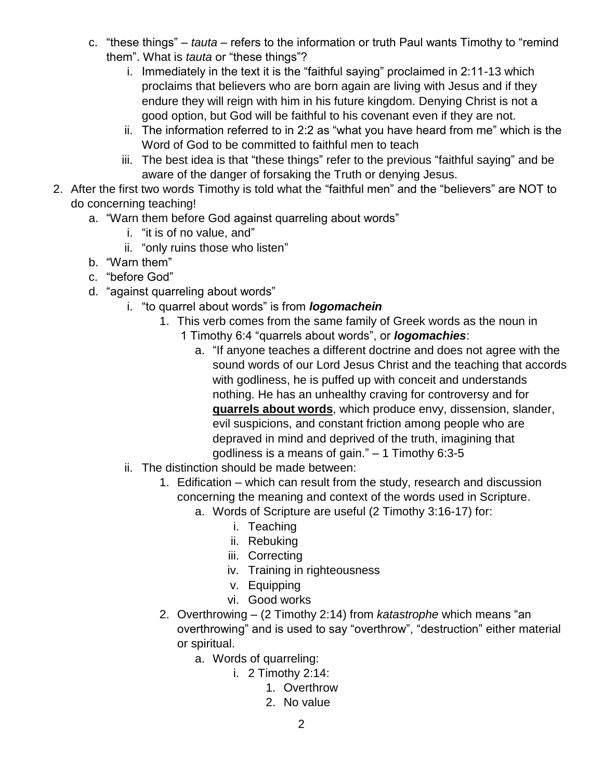- c. "these things" *tauta* refers to the information or truth Paul wants Timothy to "remind them". What is *tauta* or "these things"?
	- i. Immediately in the text it is the "faithful saying" proclaimed in 2:11-13 which proclaims that believers who are born again are living with Jesus and if they endure they will reign with him in his future kingdom. Denying Christ is not a good option, but God will be faithful to his covenant even if they are not.
	- ii. The information referred to in 2:2 as "what you have heard from me" which is the Word of God to be committed to faithful men to teach
	- iii. The best idea is that "these things" refer to the previous "faithful saying" and be aware of the danger of forsaking the Truth or denying Jesus.
- 2. After the first two words Timothy is told what the "faithful men" and the "believers" are NOT to do concerning teaching!
	- a. "Warn them before God against quarreling about words"
		- i. "it is of no value, and"
		- ii. "only ruins those who listen"
	- b. "Warn them"
	- c. "before God"
	- d. "against quarreling about words"
		- i. "to quarrel about words" is from *logomachein*
			- 1. This verb comes from the same family of Greek words as the noun in
				- 1 Timothy 6:4 "quarrels about words", or *logomachies*:
					- a. "If anyone teaches a different doctrine and does not agree with the sound words of our Lord Jesus Christ and the teaching that accords with godliness, he is puffed up with conceit and understands nothing. He has an unhealthy craving for controversy and for **quarrels about words**, which produce envy, dissension, slander, evil suspicions, and constant friction among people who are depraved in mind and deprived of the truth, imagining that godliness is a means of gain." – 1 Timothy 6:3-5
		- ii. The distinction should be made between:
			- 1. Edification which can result from the study, research and discussion concerning the meaning and context of the words used in Scripture.
				- a. Words of Scripture are useful (2 Timothy 3:16-17) for:
					- i. Teaching
					- ii. Rebuking
					- iii. Correcting
					- iv. Training in righteousness
					- v. Equipping
					- vi. Good works
			- 2. Overthrowing (2 Timothy 2:14) from *katastrophe* which means "an overthrowing" and is used to say "overthrow", "destruction" either material or spiritual.
				- a. Words of quarreling:
					- i. 2 Timothy 2:14:
						- 1. Overthrow
						- 2. No value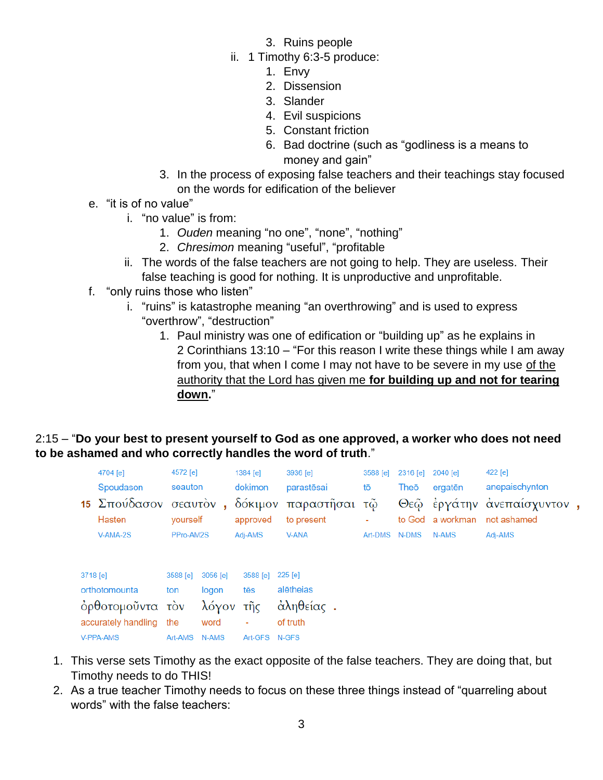- 3. Ruins people
- ii. 1 Timothy 6:3-5 produce:
	- 1. Envy
	- 2. Dissension
	- 3. Slander
	- 4. Evil suspicions
	- 5. Constant friction
	- 6. Bad doctrine (such as "godliness is a means to money and gain"
- 3. In the process of exposing false teachers and their teachings stay focused on the words for edification of the believer
- e. "it is of no value"
	- i. "no value" is from:
		- 1. *Ouden* meaning "no one", "none", "nothing"
		- 2. *Chresimon* meaning "useful", "profitable
	- ii. The words of the false teachers are not going to help. They are useless. Their false teaching is good for nothing. It is unproductive and unprofitable.
- f. "only ruins those who listen"
	- i. "ruins" is katastrophe meaning "an overthrowing" and is used to express "overthrow", "destruction"
		- 1. Paul ministry was one of edification or "building up" as he explains in 2 Corinthians 13:10 – "For this reason I write these things while I am away from you, that when I come I may not have to be severe in my use of the authority that the Lord has given me **for building up and not for tearing down.**"

#### 2:15 – "**Do your best to present yourself to God as one approved, a worker who does not need to be ashamed and who correctly handles the word of truth**."

|           | 4704 [e]                        | 4572 [e]      |           | 1384 [e]            | 3936 [e]                    | 3588 [e] |    | $2316$ [e]    | 2040 [e]  | 422 [e]                                   |  |  |  |
|-----------|---------------------------------|---------------|-----------|---------------------|-----------------------------|----------|----|---------------|-----------|-------------------------------------------|--|--|--|
|           | Spoudason                       | seauton       |           | dokimon             | parastēsai                  |          | tō | Theō          | ergatēn   | anepaischynton                            |  |  |  |
|           | 15 Σπούδασον σεαυτόν,<br>Hasten | vourself      |           | δόκιμον<br>approved | παραστῆσαι τῷ<br>to present |          | ٠  | to God        | a workman | Θεώ έργάτην ανεπαίσχυντον,<br>not ashamed |  |  |  |
|           | $V-AMA-2S$                      | PPro-AM2S     |           | Adj-AMS             | <b>V-ANA</b>                |          |    | Art-DMS N-DMS | N-AMS     | Adj-AMS                                   |  |  |  |
| 3718 [e]  |                                 | 3588 [e]      | 3056 [e]  | 3588 [e]            | 225 [e]                     |          |    |               |           |                                           |  |  |  |
|           | orthotomounta                   | ton           | logon     | tēs                 | alētheias                   |          |    |               |           |                                           |  |  |  |
|           | όρθοτομοῦντα τὸν                |               | λόγον τῆς |                     | άληθείας.                   |          |    |               |           |                                           |  |  |  |
|           | accurately handling             | the           | word      | ٠                   | of truth                    |          |    |               |           |                                           |  |  |  |
| V-PPA-AMS |                                 | Art-AMS N-AMS |           | Art-GES N-GES       |                             |          |    |               |           |                                           |  |  |  |

- 1. This verse sets Timothy as the exact opposite of the false teachers. They are doing that, but Timothy needs to do THIS!
- 2. As a true teacher Timothy needs to focus on these three things instead of "quarreling about words" with the false teachers: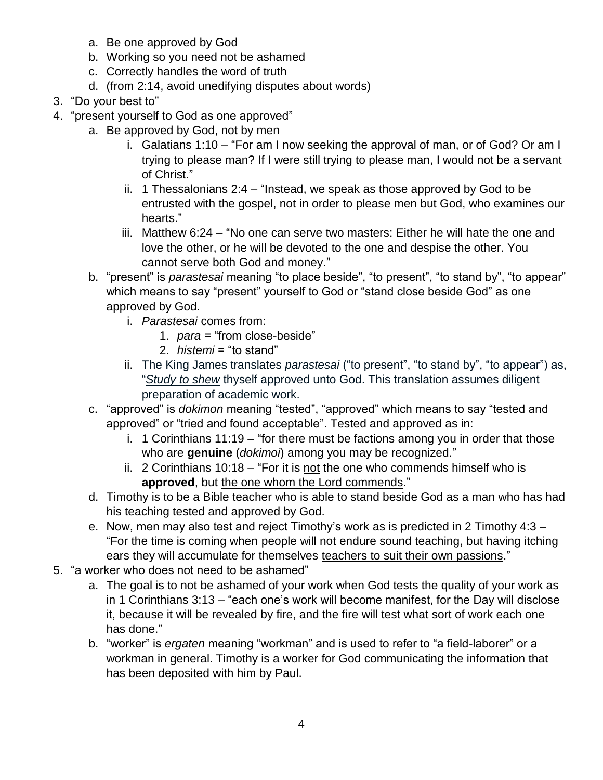- a. Be one approved by God
- b. Working so you need not be ashamed
- c. Correctly handles the word of truth
- d. (from 2:14, avoid unedifying disputes about words)
- 3. "Do your best to"
- 4. "present yourself to God as one approved"
	- a. Be approved by God, not by men
		- i. Galatians 1:10 "For am I now seeking the approval of man, or of God? Or am I trying to please man? If I were still trying to please man, I would not be a servant of Christ."
		- ii. 1 Thessalonians 2:4 "Instead, we speak as those approved by God to be entrusted with the gospel, not in order to please men but God, who examines our hearts."
		- iii. Matthew 6:24 "No one can serve two masters: Either he will hate the one and love the other, or he will be devoted to the one and despise the other. You cannot serve both God and money."
	- b. "present" is *parastesai* meaning "to place beside", "to present", "to stand by", "to appear" which means to say "present" yourself to God or "stand close beside God" as one approved by God.
		- i. *Parastesai* comes from:
			- 1. *para* = "from close-beside"
			- 2. *histemi* = "to stand"
		- ii. The King James translates *parastesai* ("to present", "to stand by", "to appear") as, "*Study to shew* thyself approved unto God. This translation assumes diligent preparation of academic work.
	- c. "approved" is *dokimon* meaning "tested", "approved" which means to say "tested and approved" or "tried and found acceptable". Tested and approved as in:
		- i. 1 Corinthians 11:19 "for there must be factions among you in order that those who are **genuine** (*dokimoi*) among you may be recognized."
		- ii. 2 Corinthians 10:18 "For it is not the one who commends himself who is **approved**, but the one whom the Lord commends."
	- d. Timothy is to be a Bible teacher who is able to stand beside God as a man who has had his teaching tested and approved by God.
	- e. Now, men may also test and reject Timothy's work as is predicted in 2 Timothy 4:3 "For the time is coming when people will not endure sound teaching, but having itching ears they will accumulate for themselves teachers to suit their own passions."
- 5. "a worker who does not need to be ashamed"
	- a. The goal is to not be ashamed of your work when God tests the quality of your work as in 1 Corinthians 3:13 – "each one's work will become manifest, for the Day will disclose it, because it will be revealed by fire, and the fire will test what sort of work each one has done."
	- b. "worker" is *ergaten* meaning "workman" and is used to refer to "a field-laborer" or a workman in general. Timothy is a worker for God communicating the information that has been deposited with him by Paul.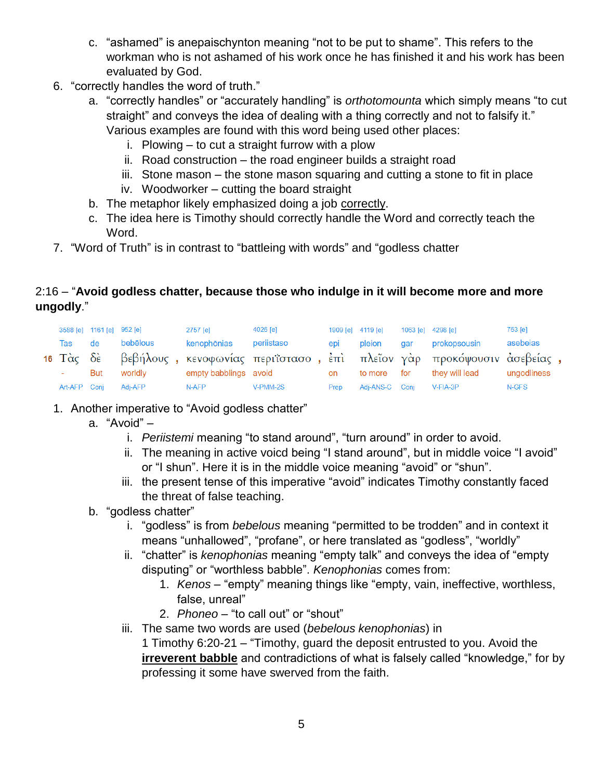- c. "ashamed" is anepaischynton meaning "not to be put to shame". This refers to the workman who is not ashamed of his work once he has finished it and his work has been evaluated by God.
- 6. "correctly handles the word of truth."
	- a. "correctly handles" or "accurately handling" is *orthotomounta* which simply means "to cut straight" and conveys the idea of dealing with a thing correctly and not to falsify it." Various examples are found with this word being used other places:
		- i. Plowing to cut a straight furrow with a plow
		- ii. Road construction the road engineer builds a straight road
		- iii. Stone mason the stone mason squaring and cutting a stone to fit in place
		- iv. Woodworker cutting the board straight
	- b. The metaphor likely emphasized doing a job correctly.
	- c. The idea here is Timothy should correctly handle the Word and correctly teach the Word.
- 7. "Word of Truth" is in contrast to "battleing with words" and "godless chatter

#### 2:16 – "**Avoid godless chatter, because those who indulge in it will become more and more ungodly**."

|              | 3588 [e] 1161 [e] 952 [e] |          | 2757 [e]    | 4026 [e]                                                                        |      | 1909 [e] 4119 [e] |     | 1063 [e] 4298 [e] | 763 [e]     |
|--------------|---------------------------|----------|-------------|---------------------------------------------------------------------------------|------|-------------------|-----|-------------------|-------------|
| Tas          | de de                     | bebēlous | kenophōnias | periistaso                                                                      | epi  | pleion            | dar | prokopsousin      | asebeias    |
|              |                           |          |             | 16 Τὰς δε βεβήλους, κενοφωνίας περιΐστασο, ἐπι πλεῖον γὰρ προκόψουσιν ἀσεβείας, |      |                   |     |                   |             |
| ÷.           | But                       | worldly  |             | empty babblings avoid                                                           | on   | to more           | for | they will lead    | ungodliness |
| Art-AFP Conj |                           | Adj-AFP  | N-AFP       | V-PMM-2S                                                                        | Prep | Adj-ANS-C Conj    |     | V-FIA-3P          | N-GFS       |

- 1. Another imperative to "Avoid godless chatter"
	- a. "Avoid"
		- i. *Periistemi* meaning "to stand around", "turn around" in order to avoid.
		- ii. The meaning in active voicd being "I stand around", but in middle voice "I avoid" or "I shun". Here it is in the middle voice meaning "avoid" or "shun".
		- iii. the present tense of this imperative "avoid" indicates Timothy constantly faced the threat of false teaching.
	- b. "godless chatter"
		- i. "godless" is from *bebelous* meaning "permitted to be trodden" and in context it means "unhallowed", "profane", or here translated as "godless", "worldly"
		- ii. "chatter" is *kenophonias* meaning "empty talk" and conveys the idea of "empty disputing" or "worthless babble". *Kenophonias* comes from:
			- 1. *Kenos* "empty" meaning things like "empty, vain, ineffective, worthless, false, unreal"
			- 2. *Phoneo* "to call out" or "shout"
		- iii. The same two words are used (*bebelous kenophonias*) in

1 Timothy 6:20-21 – "Timothy, guard the deposit entrusted to you. Avoid the **irreverent babble** and contradictions of what is falsely called "knowledge," for by professing it some have swerved from the faith.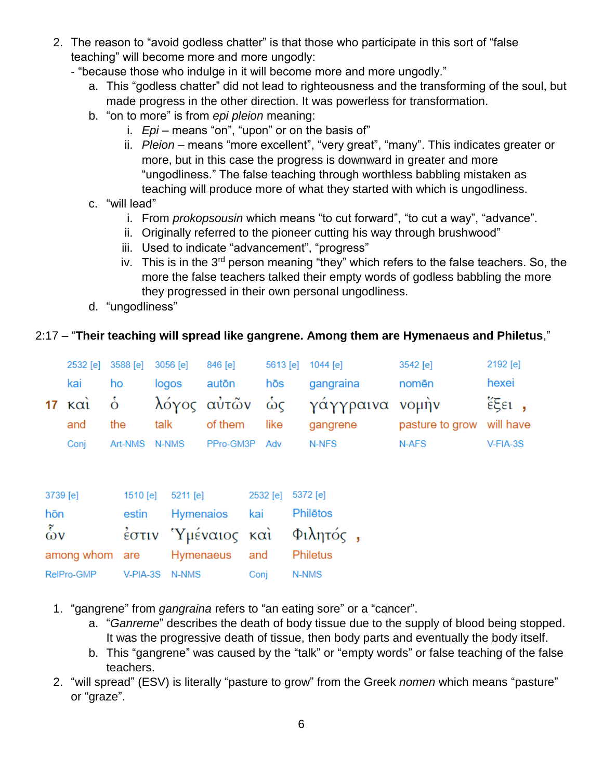- 2. The reason to "avoid godless chatter" is that those who participate in this sort of "false teaching" will become more and more ungodly:
	- "because those who indulge in it will become more and more ungodly."
		- a. This "godless chatter" did not lead to righteousness and the transforming of the soul, but made progress in the other direction. It was powerless for transformation.
		- b. "on to more" is from *epi pleion* meaning:
			- i. *Epi* means "on", "upon" or on the basis of"
			- ii. *Pleion* means "more excellent", "very great", "many". This indicates greater or more, but in this case the progress is downward in greater and more "ungodliness." The false teaching through worthless babbling mistaken as teaching will produce more of what they started with which is ungodliness.
		- c. "will lead"
			- i. From *prokopsousin* which means "to cut forward", "to cut a way", "advance".
			- ii. Originally referred to the pioneer cutting his way through brushwood"
			- iii. Used to indicate "advancement", "progress"
			- iv. This is in the  $3^{rd}$  person meaning "they" which refers to the false teachers. So, the more the false teachers talked their empty words of godless babbling the more they progressed in their own personal ungodliness.
		- d. "ungodliness"

## 2:17 – "**Their teaching will spread like gangrene. Among them are Hymenaeus and Philetus**,"

|      | 2532 [e] 3588 [e] 3056 [e] | 846 [e]           |     | 5613 [e] $1044$ [e]                     | $3542$ [e]                | 2192 [e]    |
|------|----------------------------|-------------------|-----|-----------------------------------------|---------------------------|-------------|
| kai  | ho                         | logos autōn       | hōs | gangraina                               | nomēn                     | hexei       |
|      |                            |                   |     | 17 καὶ ὁ λόγος αὐτῶν ὡς γάγγραινα νομὴν |                           | έξει,       |
| and  | the                        | talk of them like |     | gangrene                                | pasture to grow will have |             |
| Conj | Art-NMS N-NMS              | PPro-GM3P Adv     |     | N-NFS                                   | N-AFS                     | $V$ -FIA-3S |

| 3739 [e]                  | 1510 [e] 5211 [e]                     | 2532 [e] 5372 [e] |       |
|---------------------------|---------------------------------------|-------------------|-------|
| hōn                       | estin Hymenaios kai Philētos          |                   |       |
| $\delta v$                | έστιν Ύμέναιος και Φιλητός,           |                   |       |
|                           | among whom are Hymenaeus and Philetus |                   |       |
| RelPro-GMP V-PIA-3S N-NMS |                                       | Conj              | N-NMS |

- 1. "gangrene" from *gangraina* refers to "an eating sore" or a "cancer".
	- a. "*Ganreme*" describes the death of body tissue due to the supply of blood being stopped. It was the progressive death of tissue, then body parts and eventually the body itself.
	- b. This "gangrene" was caused by the "talk" or "empty words" or false teaching of the false teachers.
- 2. "will spread" (ESV) is literally "pasture to grow" from the Greek *nomen* which means "pasture" or "graze".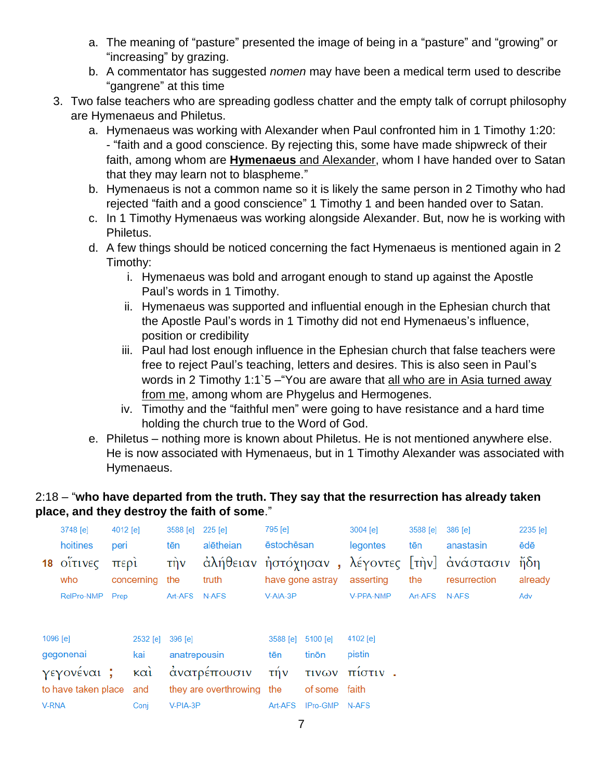- a. The meaning of "pasture" presented the image of being in a "pasture" and "growing" or "increasing" by grazing.
- b. A commentator has suggested *nomen* may have been a medical term used to describe "gangrene" at this time
- 3. Two false teachers who are spreading godless chatter and the empty talk of corrupt philosophy are Hymenaeus and Philetus.
	- a. Hymenaeus was working with Alexander when Paul confronted him in 1 Timothy 1:20: - "faith and a good conscience. By rejecting this, some have made shipwreck of their faith, among whom are **Hymenaeus** and Alexander, whom I have handed over to Satan that they may learn not to blaspheme."
	- b. Hymenaeus is not a common name so it is likely the same person in 2 Timothy who had rejected "faith and a good conscience" 1 Timothy 1 and been handed over to Satan.
	- c. In 1 Timothy Hymenaeus was working alongside Alexander. But, now he is working with Philetus.
	- d. A few things should be noticed concerning the fact Hymenaeus is mentioned again in 2 Timothy:
		- i. Hymenaeus was bold and arrogant enough to stand up against the Apostle Paul's words in 1 Timothy.
		- ii. Hymenaeus was supported and influential enough in the Ephesian church that the Apostle Paul's words in 1 Timothy did not end Hymenaeus's influence, position or credibility
		- iii. Paul had lost enough influence in the Ephesian church that false teachers were free to reject Paul's teaching, letters and desires. This is also seen in Paul's words in 2 Timothy 1:1`5 –"You are aware that all who are in Asia turned away from me, among whom are Phygelus and Hermogenes.
		- iv. Timothy and the "faithful men" were going to have resistance and a hard time holding the church true to the Word of God.
	- e. Philetus nothing more is known about Philetus. He is not mentioned anywhere else. He is now associated with Hymenaeus, but in 1 Timothy Alexander was associated with Hymenaeus.

## 2:18 – "**who have departed from the truth. They say that the resurrection has already taken place, and they destroy the faith of some**."

| 4012 [e]<br>3748 [e]     |                                                |      |                                       | 3588 [e]                            | $225$ [e]                             | 795 [e]                                              |                                                          | 3004 [e]                                        | 3588 [e] | 386 [e]                                                      | 2235 [e]                |
|--------------------------|------------------------------------------------|------|---------------------------------------|-------------------------------------|---------------------------------------|------------------------------------------------------|----------------------------------------------------------|-------------------------------------------------|----------|--------------------------------------------------------------|-------------------------|
|                          | hoitines                                       | peri |                                       | tēn                                 | alētheian                             | ēstochēsan                                           |                                                          | legontes                                        | tēn      | anastasin                                                    | ēdē                     |
| 18                       | οΐτινες<br>who                                 | περί | concerning                            | $\hat{\pi}$ ην<br>the               | truth                                 |                                                      | have gone astray                                         | asserting                                       | the      | άλήθειαν ηστόχησαν, λέγοντες [την] ανάστασιν<br>resurrection | $\delta$ ήδη<br>already |
|                          | RelPro-NMP                                     | Prep |                                       | Art-AFS                             | N-AFS                                 | V-AIA-3P                                             |                                                          | V-PPA-NMP                                       | Art-AFS  | N-AFS                                                        | Adv                     |
| 1096 [e]<br><b>V-RNA</b> | gegonenai<br>γεγονέναι;<br>to have taken place |      | 2532 [e]<br>kai<br>καὶ<br>and<br>Conj | 396 [e]<br>anatrepousin<br>V-PIA-3P | ανατρέπουσιν<br>they are overthrowing | 3588 [e]<br>tēn<br>$\tau \nvert v$<br>the<br>Art-AFS | 5100 [e]<br>tinōn<br><b>TIVOV</b><br>of some<br>IPro-GMP | 4102 [e]<br>pistin<br>πίστιν.<br>faith<br>N-AFS |          |                                                              |                         |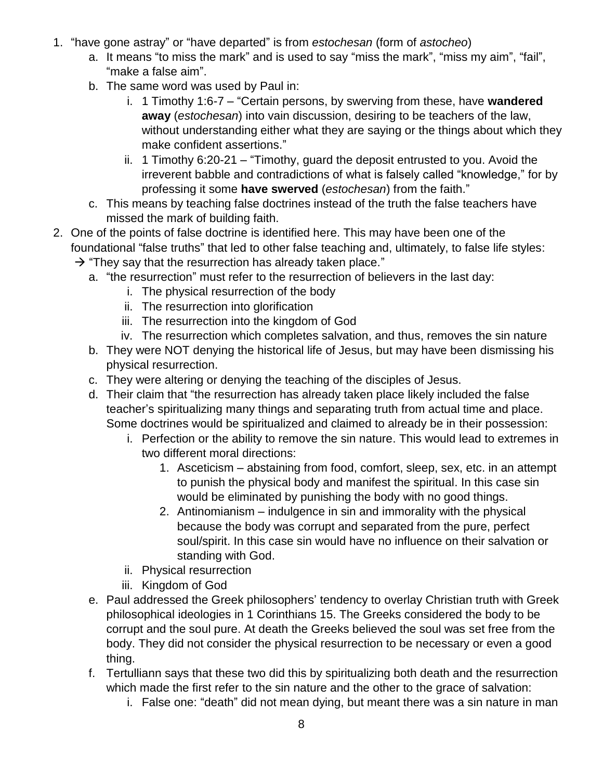- 1. "have gone astray" or "have departed" is from *estochesan* (form of *astocheo*)
	- a. It means "to miss the mark" and is used to say "miss the mark", "miss my aim", "fail", "make a false aim".
	- b. The same word was used by Paul in:
		- i. 1 Timothy 1:6-7 "Certain persons, by swerving from these, have **wandered away** (*estochesan*) into vain discussion, desiring to be teachers of the law, without understanding either what they are saying or the things about which they make confident assertions."
		- ii. 1 Timothy 6:20-21 "Timothy, guard the deposit entrusted to you. Avoid the irreverent babble and contradictions of what is falsely called "knowledge," for by professing it some **have swerved** (*estochesan*) from the faith."
	- c. This means by teaching false doctrines instead of the truth the false teachers have missed the mark of building faith.
- 2. One of the points of false doctrine is identified here. This may have been one of the foundational "false truths" that led to other false teaching and, ultimately, to false life styles:
	- $\rightarrow$  "They say that the resurrection has already taken place."
		- a. "the resurrection" must refer to the resurrection of believers in the last day:
			- i. The physical resurrection of the body
			- ii. The resurrection into glorification
			- iii. The resurrection into the kingdom of God
			- iv. The resurrection which completes salvation, and thus, removes the sin nature
		- b. They were NOT denying the historical life of Jesus, but may have been dismissing his physical resurrection.
		- c. They were altering or denying the teaching of the disciples of Jesus.
		- d. Their claim that "the resurrection has already taken place likely included the false teacher's spiritualizing many things and separating truth from actual time and place. Some doctrines would be spiritualized and claimed to already be in their possession:
			- i. Perfection or the ability to remove the sin nature. This would lead to extremes in two different moral directions:
				- 1. Asceticism abstaining from food, comfort, sleep, sex, etc. in an attempt to punish the physical body and manifest the spiritual. In this case sin would be eliminated by punishing the body with no good things.
				- 2. Antinomianism indulgence in sin and immorality with the physical because the body was corrupt and separated from the pure, perfect soul/spirit. In this case sin would have no influence on their salvation or standing with God.
			- ii. Physical resurrection
			- iii. Kingdom of God
		- e. Paul addressed the Greek philosophers' tendency to overlay Christian truth with Greek philosophical ideologies in 1 Corinthians 15. The Greeks considered the body to be corrupt and the soul pure. At death the Greeks believed the soul was set free from the body. They did not consider the physical resurrection to be necessary or even a good thing.
		- f. Tertulliann says that these two did this by spiritualizing both death and the resurrection which made the first refer to the sin nature and the other to the grace of salvation:
			- i. False one: "death" did not mean dying, but meant there was a sin nature in man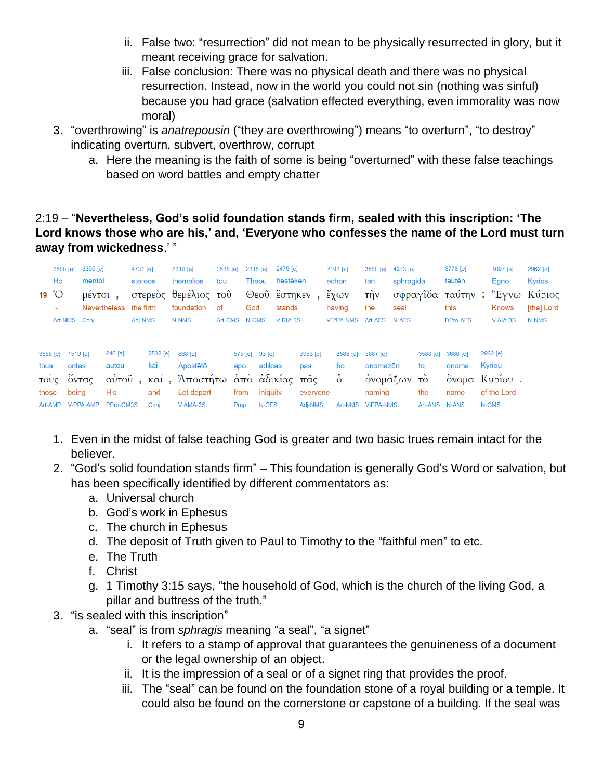- ii. False two: "resurrection" did not mean to be physically resurrected in glory, but it meant receiving grace for salvation.
- iii. False conclusion: There was no physical death and there was no physical resurrection. Instead, now in the world you could not sin (nothing was sinful) because you had grace (salvation effected everything, even immorality was now moral)
- 3. "overthrowing" is *anatrepousin* ("they are overthrowing") means "to overturn", "to destroy" indicating overturn, subvert, overthrow, corrupt
	- a. Here the meaning is the faith of some is being "overturned" with these false teachings based on word battles and empty chatter

### 2:19 – "**Nevertheless, God's solid foundation stands firm, sealed with this inscription: 'The Lord knows those who are his,' and, 'Everyone who confesses the name of the Lord must turn away from wickedness**.' "

| Ho<br>19 $^{\circ}$ O                        | 3588 [e]<br>Art-NMS Conj            | 3305 [e]<br>mentoi<br>$\mu$ <sup><math>\epsilon</math></sup> $\nu$ <sup><math>\tau</math></sup> $\Omega$ <sub><math>\mu</math></sub> <sup><math>\sigma</math></sup><br><b>Nevertheless</b> |                                      | 4731 [e]<br>stereos<br>the firm<br>Adj-NMS |                                | 2310 [e]<br>themelios<br>στερεὸς θεμέλιος τοῦ<br>foundation<br>N-NMS                  | 3588 [e]<br>tou<br><b>of</b><br>Art-GMS N-GMS | God                                   | 2316 [e]<br>Theou            | 2476 [e]<br>hestēken<br>stands<br>V-RIA-3S | Θεοὖ ἕστηκεν,                          | 2192 [e]<br>echōn<br>έχων<br>having<br>V-PPA-NMS | 3588 [e]<br>tēn<br>$\tau$ ijv<br>the<br>Art-AFS N-AFS      | 4973 [e]<br>sphragida<br>seal |                                        | 3778 [e]<br>tautēn<br>this<br>DPro-AFS | 1097 [e]<br>Egnō<br>Knows<br>$V-AIA-3S$                     | 2962 [e]<br><b>Kyrios</b><br>σφραγίδα ταύτην: "Έγνω Κύριος<br>[the] Lord<br>N-NMS |
|----------------------------------------------|-------------------------------------|--------------------------------------------------------------------------------------------------------------------------------------------------------------------------------------------|--------------------------------------|--------------------------------------------|--------------------------------|---------------------------------------------------------------------------------------|-----------------------------------------------|---------------------------------------|------------------------------|--------------------------------------------|----------------------------------------|--------------------------------------------------|------------------------------------------------------------|-------------------------------|----------------------------------------|----------------------------------------|-------------------------------------------------------------|-----------------------------------------------------------------------------------|
| 3588 [e]<br>tous<br>τούς<br>those<br>Art-AMP | 1510 [e]<br>ontas<br>οντας<br>being | V-PPA-AMP                                                                                                                                                                                  | 846 [e]<br>autou<br>His<br>PPro-GM3S |                                            | 2532 [e]<br>kai<br>and<br>Coni | 868 [e]<br>Apostētō<br>αύτοῦ, καί, Ἀποστήτω ἀπὸ ἀδικίας πᾶς<br>Let depart<br>V-AMA-3S |                                               | 575 [e] 93 [e]<br>apo<br>from<br>Prep | adikias<br>iniquity<br>N-GFS |                                            | 3956 [e]<br>pas<br>everyone<br>Adj-NMS | 3588 [e]<br>ho<br>$\dot{\delta}$<br>٠<br>Art-NMS | 3687 [e]<br>onomazon<br>ονομάζων το<br>naming<br>V-PPA-NMS |                               | 3588 [e]<br>to<br>the<br>Art-ANS N-ANS | 3686 [e]<br>onoma<br>name              | 2962 [e]<br>Kyriou<br>όνομα Κυρίου.<br>of the Lord<br>N-GMS |                                                                                   |

- 1. Even in the midst of false teaching God is greater and two basic trues remain intact for the believer.
- 2. "God's solid foundation stands firm" This foundation is generally God's Word or salvation, but has been specifically identified by different commentators as:
	- a. Universal church
	- b. God's work in Ephesus
	- c. The church in Ephesus
	- d. The deposit of Truth given to Paul to Timothy to the "faithful men" to etc.
	- e. The Truth
	- f. Christ
	- g. 1 Timothy 3:15 says, "the household of God, which is the church of the living God, a pillar and buttress of the truth."
- 3. "is sealed with this inscription"
	- a. "seal" is from *sphragis* meaning "a seal", "a signet"
		- i. It refers to a stamp of approval that guarantees the genuineness of a document or the legal ownership of an object.
		- ii. It is the impression of a seal or of a signet ring that provides the proof.
		- iii. The "seal" can be found on the foundation stone of a royal building or a temple. It could also be found on the cornerstone or capstone of a building. If the seal was